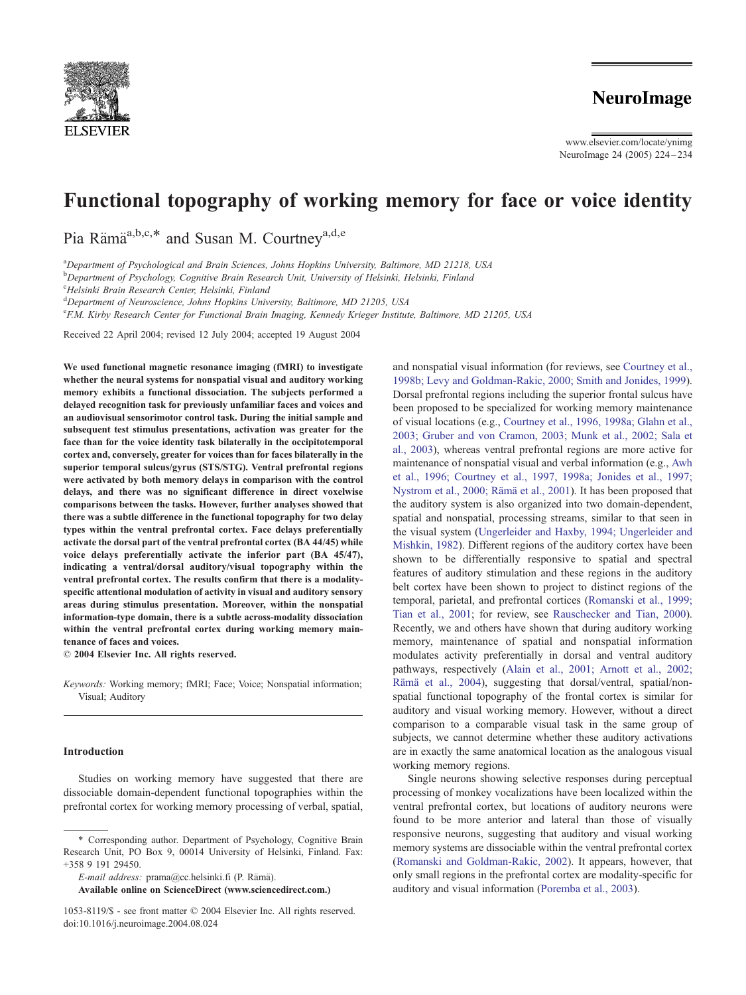

www.elsevier.com/locate/ynimg NeuroImage 24 (2005) 224 – 234

# Functional topography of working memory for face or voice identity

Pia Rämä<sup>a,b,c,\*</sup> and Susan M. Courtney<sup>a,d,e</sup>

<sup>a</sup>Department of Psychological and Brain Sciences, Johns Hopkins University, Baltimore, MD 21218, USA

**b**<br>Department of Psychology, Cognitive Brain Research Unit, University of Helsinki, Helsinki, Finland

c Helsinki Brain Research Center, Helsinki, Finland

<sup>d</sup>Department of Neuroscience, Johns Hopkins University, Baltimore, MD 21205, USA

eF.M. Kirby Research Center for Functional Brain Imaging, Kennedy Krieger Institute, Baltimore, MD 21205, USA

Received 22 April 2004; revised 12 July 2004; accepted 19 August 2004

We used functional magnetic resonance imaging (fMRI) to investigate whether the neural systems for nonspatial visual and auditory working memory exhibits a functional dissociation. The subjects performed a delayed recognition task for previously unfamiliar faces and voices and an audiovisual sensorimotor control task. During the initial sample and subsequent test stimulus presentations, activation was greater for the face than for the voice identity task bilaterally in the occipitotemporal cortex and, conversely, greater for voices than for faces bilaterally in the superior temporal sulcus/gyrus (STS/STG). Ventral prefrontal regions were activated by both memory delays in comparison with the control delays, and there was no significant difference in direct voxelwise comparisons between the tasks. However, further analyses showed that there was a subtle difference in the functional topography for two delay types within the ventral prefrontal cortex. Face delays preferentially activate the dorsal part of the ventral prefrontal cortex (BA 44/45) while voice delays preferentially activate the inferior part (BA 45/47), indicating a ventral/dorsal auditory/visual topography within the ventral prefrontal cortex. The results confirm that there is a modalityspecific attentional modulation of activity in visual and auditory sensory areas during stimulus presentation. Moreover, within the nonspatial information-type domain, there is a subtle across-modality dissociation within the ventral prefrontal cortex during working memory maintenance of faces and voices.

 $©$  2004 Elsevier Inc. All rights reserved.

Keywords: Working memory; fMRI; Face; Voice; Nonspatial information; Visual; Auditory

# Introduction

Studies on working memory have suggested that there are dissociable domain-dependent functional topographies within the prefrontal cortex for working memory processing of verbal, spatial,

Available online on ScienceDirect (www.sciencedirect.com.)

and nonspatial visual information (for reviews, see [Courtney et al.,](#page-10-0) 1998b; Levy and Goldman-Rakic, 2000; Smith and Jonides, 1999). Dorsal prefrontal regions including the superior frontal sulcus have been proposed to be specialized for working memory maintenance of visual locations (e.g., [Courtney et al., 1996, 1998a; Glahn et al.,](#page-9-0) 2003; Gruber and von Cramon, 2003; Munk et al., 2002; Sala et al., 2003), whereas ventral prefrontal regions are more active for maintenance of nonspatial visual and verbal information (e.g., [Awh](#page-9-0) et al., 1996; Courtney et al., 1997, 1998a; Jonides et al., 1997; Nystrom et al., 2000; Rämä et al., 2001). It has been proposed that the auditory system is also organized into two domain-dependent, spatial and nonspatial, processing streams, similar to that seen in the visual system ([Ungerleider and Haxby, 1994; Ungerleider and](#page-10-0) Mishkin, 1982). Different regions of the auditory cortex have been shown to be differentially responsive to spatial and spectral features of auditory stimulation and these regions in the auditory belt cortex have been shown to project to distinct regions of the temporal, parietal, and prefrontal cortices ([Romanski et al., 1999;](#page-10-0) Tian et al., 2001; for review, see [Rauschecker and Tian, 2000\)](#page-10-0). Recently, we and others have shown that during auditory working memory, maintenance of spatial and nonspatial information modulates activity preferentially in dorsal and ventral auditory pathways, respectively ([Alain et al., 2001; Arnott et al., 2002;](#page-9-0) Rämä et al., 2004), suggesting that dorsal/ventral, spatial/nonspatial functional topography of the frontal cortex is similar for auditory and visual working memory. However, without a direct comparison to a comparable visual task in the same group of subjects, we cannot determine whether these auditory activations are in exactly the same anatomical location as the analogous visual working memory regions.

Single neurons showing selective responses during perceptual processing of monkey vocalizations have been localized within the ventral prefrontal cortex, but locations of auditory neurons were found to be more anterior and lateral than those of visually responsive neurons, suggesting that auditory and visual working memory systems are dissociable within the ventral prefrontal cortex ([Romanski and Goldman-Rakic, 2002\)](#page-10-0). It appears, however, that only small regions in the prefrontal cortex are modality-specific for auditory and visual information ([Poremba et al., 2003\)](#page-10-0).

<sup>\*</sup> Corresponding author. Department of Psychology, Cognitive Brain Research Unit, PO Box 9, 00014 University of Helsinki, Finland. Fax: +358 9 191 29450.

E-mail address: prama@cc.helsinki.fi (P. Rämä).

<sup>1053-8119/\$ -</sup> see front matter © 2004 Elsevier Inc. All rights reserved. doi:10.1016/j.neuroimage.2004.08.024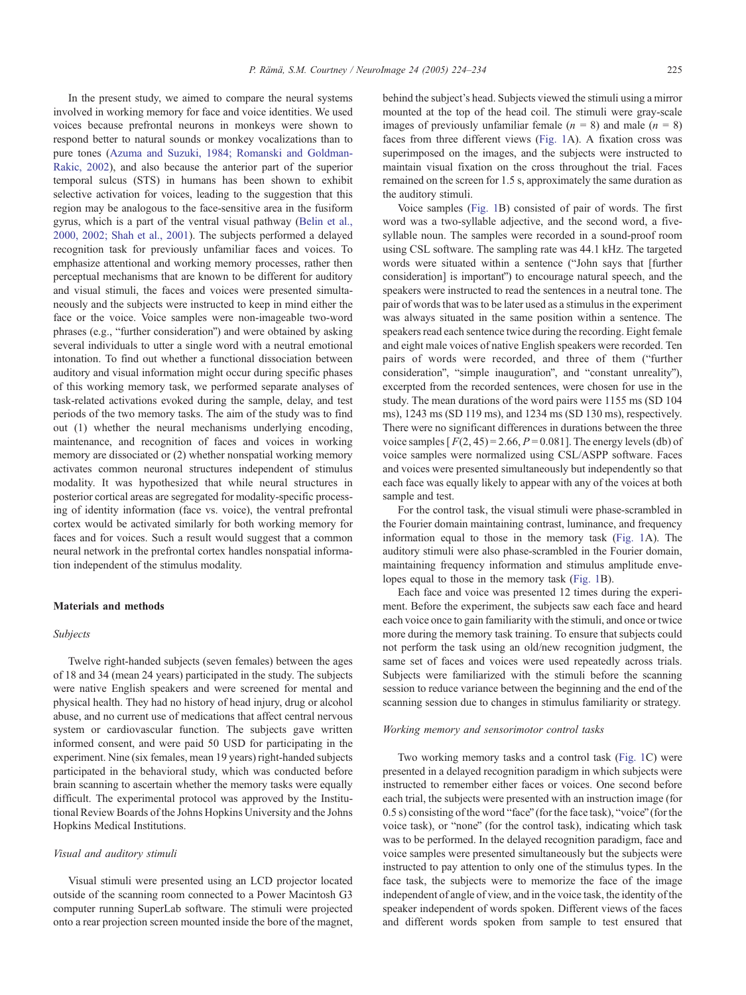In the present study, we aimed to compare the neural systems involved in working memory for face and voice identities. We used voices because prefrontal neurons in monkeys were shown to respond better to natural sounds or monkey vocalizations than to pure tones ([Azuma and Suzuki, 1984; Romanski and Goldman-](#page-9-0)Rakic, 2002), and also because the anterior part of the superior temporal sulcus (STS) in humans has been shown to exhibit selective activation for voices, leading to the suggestion that this region may be analogous to the face-sensitive area in the fusiform gyrus, which is a part of the ventral visual pathway ([Belin et al.,](#page-9-0) 2000, 2002; Shah et al., 2001). The subjects performed a delayed recognition task for previously unfamiliar faces and voices. To emphasize attentional and working memory processes, rather then perceptual mechanisms that are known to be different for auditory and visual stimuli, the faces and voices were presented simultaneously and the subjects were instructed to keep in mind either the face or the voice. Voice samples were non-imageable two-word phrases (e.g., "further consideration") and were obtained by asking several individuals to utter a single word with a neutral emotional intonation. To find out whether a functional dissociation between auditory and visual information might occur during specific phases of this working memory task, we performed separate analyses of task-related activations evoked during the sample, delay, and test periods of the two memory tasks. The aim of the study was to find out (1) whether the neural mechanisms underlying encoding, maintenance, and recognition of faces and voices in working memory are dissociated or (2) whether nonspatial working memory activates common neuronal structures independent of stimulus modality. It was hypothesized that while neural structures in posterior cortical areas are segregated for modality-specific processing of identity information (face vs. voice), the ventral prefrontal cortex would be activated similarly for both working memory for faces and for voices. Such a result would suggest that a common neural network in the prefrontal cortex handles nonspatial information independent of the stimulus modality.

# Materials and methods

#### Subjects

Twelve right-handed subjects (seven females) between the ages of 18 and 34 (mean 24 years) participated in the study. The subjects were native English speakers and were screened for mental and physical health. They had no history of head injury, drug or alcohol abuse, and no current use of medications that affect central nervous system or cardiovascular function. The subjects gave written informed consent, and were paid 50 USD for participating in the experiment. Nine (six females, mean 19 years) right-handed subjects participated in the behavioral study, which was conducted before brain scanning to ascertain whether the memory tasks were equally difficult. The experimental protocol was approved by the Institutional Review Boards of the Johns Hopkins University and the Johns Hopkins Medical Institutions.

# Visual and auditory stimuli

Visual stimuli were presented using an LCD projector located outside of the scanning room connected to a Power Macintosh G3 computer running SuperLab software. The stimuli were projected onto a rear projection screen mounted inside the bore of the magnet,

behind the subject's head. Subjects viewed the stimuli using a mirror mounted at the top of the head coil. The stimuli were gray-scale images of previously unfamiliar female  $(n = 8)$  and male  $(n = 8)$ faces from three different views ([Fig. 1A](#page-2-0)). A fixation cross was superimposed on the images, and the subjects were instructed to maintain visual fixation on the cross throughout the trial. Faces remained on the screen for 1.5 s, approximately the same duration as the auditory stimuli.

Voice samples ([Fig. 1B](#page-2-0)) consisted of pair of words. The first word was a two-syllable adjective, and the second word, a fivesyllable noun. The samples were recorded in a sound-proof room using CSL software. The sampling rate was 44.1 kHz. The targeted words were situated within a sentence ("John says that [further consideration] is important") to encourage natural speech, and the speakers were instructed to read the sentences in a neutral tone. The pair of words that was to be later used as a stimulus in the experiment was always situated in the same position within a sentence. The speakers read each sentence twice during the recording. Eight female and eight male voices of native English speakers were recorded. Ten pairs of words were recorded, and three of them ("further consideration", "simple inauguration", and "constant unreality"), excerpted from the recorded sentences, were chosen for use in the study. The mean durations of the word pairs were 1155 ms (SD 104 ms), 1243 ms (SD 119 ms), and 1234 ms (SD 130 ms), respectively. There were no significant differences in durations between the three voice samples  $[F(2, 45) = 2.66, P = 0.081]$ . The energy levels (db) of voice samples were normalized using CSL/ASPP software. Faces and voices were presented simultaneously but independently so that each face was equally likely to appear with any of the voices at both sample and test.

For the control task, the visual stimuli were phase-scrambled in the Fourier domain maintaining contrast, luminance, and frequency information equal to those in the memory task ([Fig. 1A](#page-2-0)). The auditory stimuli were also phase-scrambled in the Fourier domain, maintaining frequency information and stimulus amplitude envelopes equal to those in the memory task ([Fig. 1B](#page-2-0)).

Each face and voice was presented 12 times during the experiment. Before the experiment, the subjects saw each face and heard each voice once to gain familiarity with the stimuli, and once or twice more during the memory task training. To ensure that subjects could not perform the task using an old/new recognition judgment, the same set of faces and voices were used repeatedly across trials. Subjects were familiarized with the stimuli before the scanning session to reduce variance between the beginning and the end of the scanning session due to changes in stimulus familiarity or strategy.

#### Working memory and sensorimotor control tasks

Two working memory tasks and a control task ([Fig. 1C](#page-2-0)) were presented in a delayed recognition paradigm in which subjects were instructed to remember either faces or voices. One second before each trial, the subjects were presented with an instruction image (for  $(0.5 \text{ s})$  consisting of the word "face" (for the face task), "voice" (for the voice task), or "none" (for the control task), indicating which task was to be performed. In the delayed recognition paradigm, face and voice samples were presented simultaneously but the subjects were instructed to pay attention to only one of the stimulus types. In the face task, the subjects were to memorize the face of the image independent of angle of view, and in the voice task, the identity of the speaker independent of words spoken. Different views of the faces and different words spoken from sample to test ensured that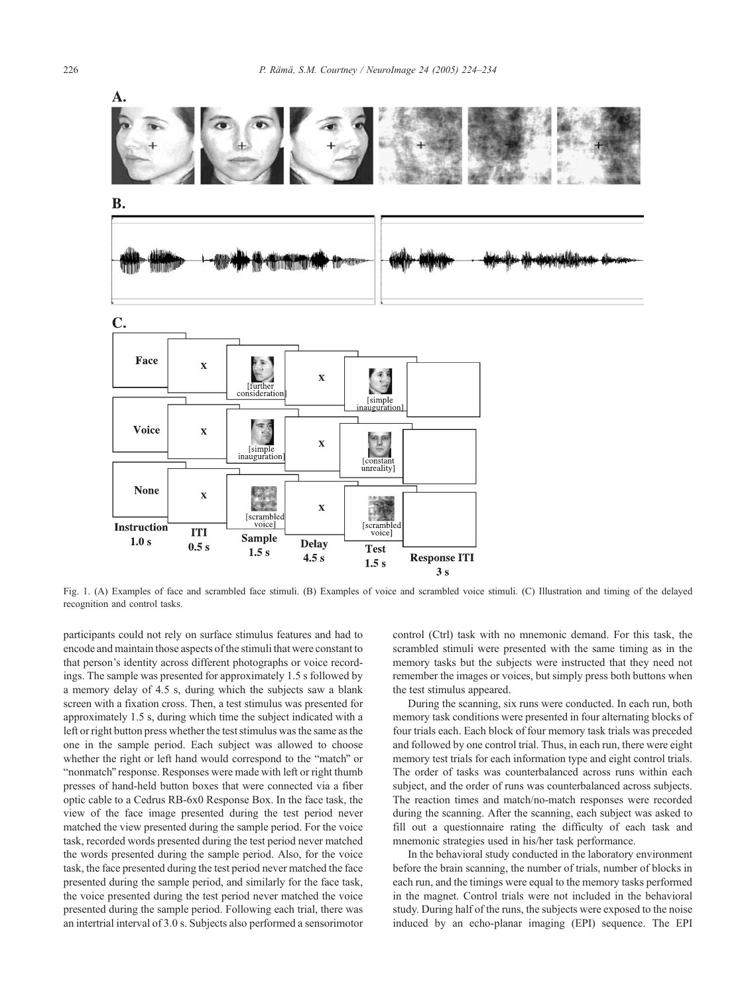<span id="page-2-0"></span>

Fig. 1. (A) Examples of face and scrambled face stimuli. (B) Examples of voice and scrambled voice stimuli. (C) Illustration and timing of the delayed recognition and control tasks.

participants could not rely on surface stimulus features and had to encode and maintain those aspects of the stimuli that were constant to that person's identity across different photographs or voice recordings. The sample was presented for approximately 1.5 s followed by a memory delay of 4.5 s, during which the subjects saw a blank screen with a fixation cross. Then, a test stimulus was presented for approximately 1.5 s, during which time the subject indicated with a left or right button press whether the test stimulus was the same as the one in the sample period. Each subject was allowed to choose whether the right or left hand would correspond to the "match" or "nonmatch" response. Responses were made with left or right thumb presses of hand-held button boxes that were connected via a fiber optic cable to a Cedrus RB-6x0 Response Box. In the face task, the view of the face image presented during the test period never matched the view presented during the sample period. For the voice task, recorded words presented during the test period never matched the words presented during the sample period. Also, for the voice task, the face presented during the test period never matched the face presented during the sample period, and similarly for the face task, the voice presented during the test period never matched the voice presented during the sample period. Following each trial, there was an intertrial interval of 3.0 s. Subjects also performed a sensorimotor

control (Ctrl) task with no mnemonic demand. For this task, the scrambled stimuli were presented with the same timing as in the memory tasks but the subjects were instructed that they need not remember the images or voices, but simply press both buttons when the test stimulus appeared.

During the scanning, six runs were conducted. In each run, both memory task conditions were presented in four alternating blocks of four trials each. Each block of four memory task trials was preceded and followed by one control trial. Thus, in each run, there were eight memory test trials for each information type and eight control trials. The order of tasks was counterbalanced across runs within each subject, and the order of runs was counterbalanced across subjects. The reaction times and match/no-match responses were recorded during the scanning. After the scanning, each subject was asked to fill out a questionnaire rating the difficulty of each task and mnemonic strategies used in his/her task performance.

In the behavioral study conducted in the laboratory environment before the brain scanning, the number of trials, number of blocks in each run, and the timings were equal to the memory tasks performed in the magnet. Control trials were not included in the behavioral study. During half of the runs, the subjects were exposed to the noise induced by an echo-planar imaging (EPI) sequence. The EPI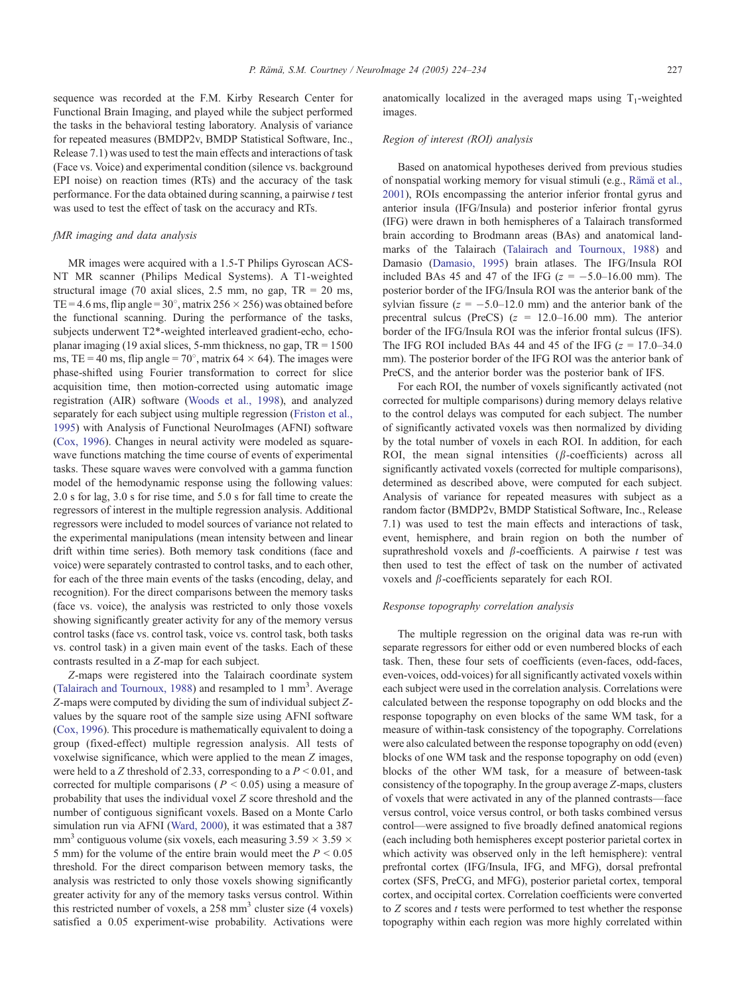sequence was recorded at the F.M. Kirby Research Center for Functional Brain Imaging, and played while the subject performed the tasks in the behavioral testing laboratory. Analysis of variance for repeated measures (BMDP2v, BMDP Statistical Software, Inc., Release 7.1) was used to test the main effects and interactions of task (Face vs. Voice) and experimental condition (silence vs. background EPI noise) on reaction times (RTs) and the accuracy of the task performance. For the data obtained during scanning, a pairwise  $t$  test was used to test the effect of task on the accuracy and RTs.

# fMR imaging and data analysis

MR images were acquired with a 1.5-T Philips Gyroscan ACS-NT MR scanner (Philips Medical Systems). A T1-weighted structural image (70 axial slices, 2.5 mm, no gap,  $TR = 20$  ms, TE = 4.6 ms, flip angle =  $30^{\circ}$ , matrix 256  $\times$  256) was obtained before the functional scanning. During the performance of the tasks, subjects underwent T2\*-weighted interleaved gradient-echo, echoplanar imaging (19 axial slices, 5-mm thickness, no gap, TR = 1500 ms, TE = 40 ms, flip angle =  $70^{\circ}$ , matrix 64  $\times$  64). The images were phase-shifted using Fourier transformation to correct for slice acquisition time, then motion-corrected using automatic image registration (AIR) software ([Woods et al., 1998\)](#page-10-0), and analyzed separately for each subject using multiple regression ([Friston et al.,](#page-10-0) 1995) with Analysis of Functional NeuroImages (AFNI) software ([Cox, 1996\)](#page-10-0). Changes in neural activity were modeled as squarewave functions matching the time course of events of experimental tasks. These square waves were convolved with a gamma function model of the hemodynamic response using the following values: 2.0 s for lag, 3.0 s for rise time, and 5.0 s for fall time to create the regressors of interest in the multiple regression analysis. Additional regressors were included to model sources of variance not related to the experimental manipulations (mean intensity between and linear drift within time series). Both memory task conditions (face and voice) were separately contrasted to control tasks, and to each other, for each of the three main events of the tasks (encoding, delay, and recognition). For the direct comparisons between the memory tasks (face vs. voice), the analysis was restricted to only those voxels showing significantly greater activity for any of the memory versus control tasks (face vs. control task, voice vs. control task, both tasks vs. control task) in a given main event of the tasks. Each of these contrasts resulted in a Z-map for each subject.

Z-maps were registered into the Talairach coordinate system ([Talairach and Tournoux, 1988\)](#page-10-0) and resampled to 1 mm<sup>3</sup>. Average Z-maps were computed by dividing the sum of individual subject Zvalues by the square root of the sample size using AFNI software ([Cox, 1996\)](#page-10-0). This procedure is mathematically equivalent to doing a group (fixed-effect) multiple regression analysis. All tests of voxelwise significance, which were applied to the mean Z images, were held to a Z threshold of 2.33, corresponding to a  $P \le 0.01$ , and corrected for multiple comparisons ( $P < 0.05$ ) using a measure of probability that uses the individual voxel Z score threshold and the number of contiguous significant voxels. Based on a Monte Carlo simulation run via AFNI ([Ward, 2000\)](#page-10-0), it was estimated that a 387 mm<sup>3</sup> contiguous volume (six voxels, each measuring  $3.59 \times 3.59 \times$ 5 mm) for the volume of the entire brain would meet the  $P < 0.05$ threshold. For the direct comparison between memory tasks, the analysis was restricted to only those voxels showing significantly greater activity for any of the memory tasks versus control. Within this restricted number of voxels, a  $258 \text{ mm}^3$  cluster size (4 voxels) satisfied a 0.05 experiment-wise probability. Activations were

anatomically localized in the averaged maps using  $T_1$ -weighted images.

# Region of interest (ROI) analysis

Based on anatomical hypotheses derived from previous studies of nonspatial working memory for visual stimuli (e.g., Rämä et al., 2001), ROIs encompassing the anterior inferior frontal gyrus and anterior insula (IFG/Insula) and posterior inferior frontal gyrus (IFG) were drawn in both hemispheres of a Talairach transformed brain according to Brodmann areas (BAs) and anatomical landmarks of the Talairach ([Talairach and Tournoux, 1988\)](#page-10-0) and Damasio ([Damasio, 1995\)](#page-10-0) brain atlases. The IFG/Insula ROI included BAs 45 and 47 of the IFG  $(z = -5.0 - 16.00 \text{ mm})$ . The posterior border of the IFG/Insula ROI was the anterior bank of the sylvian fissure  $(z = -5.0 - 12.0$  mm) and the anterior bank of the precentral sulcus (PreCS)  $(z = 12.0-16.00$  mm). The anterior border of the IFG/Insula ROI was the inferior frontal sulcus (IFS). The IFG ROI included BAs 44 and 45 of the IFG  $(z = 17.0-34.0$ mm). The posterior border of the IFG ROI was the anterior bank of PreCS, and the anterior border was the posterior bank of IFS.

For each ROI, the number of voxels significantly activated (not corrected for multiple comparisons) during memory delays relative to the control delays was computed for each subject. The number of significantly activated voxels was then normalized by dividing by the total number of voxels in each ROI. In addition, for each ROI, the mean signal intensities  $(\beta$ -coefficients) across all significantly activated voxels (corrected for multiple comparisons), determined as described above, were computed for each subject. Analysis of variance for repeated measures with subject as a random factor (BMDP2v, BMDP Statistical Software, Inc., Release 7.1) was used to test the main effects and interactions of task, event, hemisphere, and brain region on both the number of suprathreshold voxels and  $\beta$ -coefficients. A pairwise t test was then used to test the effect of task on the number of activated voxels and  $\beta$ -coefficients separately for each ROI.

#### Response topography correlation analysis

The multiple regression on the original data was re-run with separate regressors for either odd or even numbered blocks of each task. Then, these four sets of coefficients (even-faces, odd-faces, even-voices, odd-voices) for all significantly activated voxels within each subject were used in the correlation analysis. Correlations were calculated between the response topography on odd blocks and the response topography on even blocks of the same WM task, for a measure of within-task consistency of the topography. Correlations were also calculated between the response topography on odd (even) blocks of one WM task and the response topography on odd (even) blocks of the other WM task, for a measure of between-task consistency of the topography. In the group average Z-maps, clusters of voxels that were activated in any of the planned contrasts—face versus control, voice versus control, or both tasks combined versus control—were assigned to five broadly defined anatomical regions (each including both hemispheres except posterior parietal cortex in which activity was observed only in the left hemisphere): ventral prefrontal cortex (IFG/Insula, IFG, and MFG), dorsal prefrontal cortex (SFS, PreCG, and MFG), posterior parietal cortex, temporal cortex, and occipital cortex. Correlation coefficients were converted to  $Z$  scores and  $t$  tests were performed to test whether the response topography within each region was more highly correlated within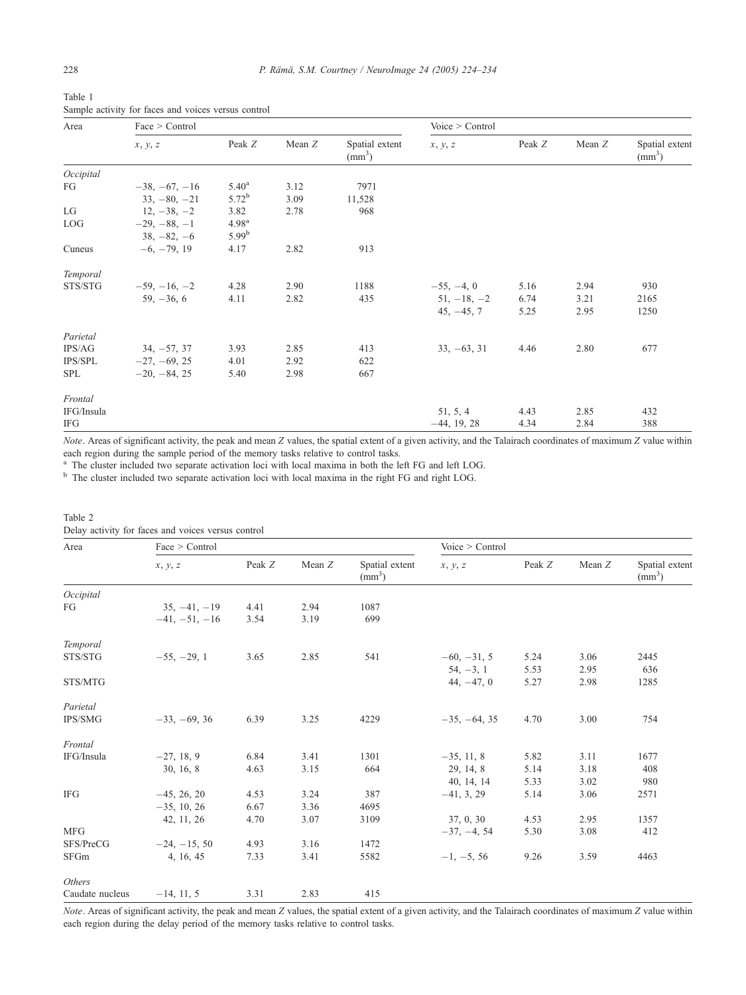<span id="page-4-0"></span>

| Table 1                                             |  |  |  |
|-----------------------------------------------------|--|--|--|
| Sample activity for faces and voices versus control |  |  |  |

| Area           | Face > Control  |                |        |                                   | V <sub>o</sub> ice > Control |        |          |                                |
|----------------|-----------------|----------------|--------|-----------------------------------|------------------------------|--------|----------|--------------------------------|
|                | x, y, z         | Peak Z         | Mean Z | Spatial extent<br>$\text{mm}^3$ ) | x, y, z                      | Peak Z | Mean $Z$ | Spatial extent<br>$\text{m}^3$ |
| Occipital      |                 |                |        |                                   |                              |        |          |                                |
| FG             | $-38, -67, -16$ | $5.40^{\rm a}$ | 3.12   | 7971                              |                              |        |          |                                |
|                | $33, -80, -21$  | $5.72^{b}$     | 3.09   | 11,528                            |                              |        |          |                                |
| LG             | $12, -38, -2$   | 3.82           | 2.78   | 968                               |                              |        |          |                                |
| <b>LOG</b>     | $-29, -88, -1$  | $4.98^{a}$     |        |                                   |                              |        |          |                                |
|                | $38, -82, -6$   | $5.99^{b}$     |        |                                   |                              |        |          |                                |
| Cuneus         | $-6, -79, 19$   | 4.17           | 2.82   | 913                               |                              |        |          |                                |
| Temporal       |                 |                |        |                                   |                              |        |          |                                |
| STS/STG        | $-59, -16, -2$  | 4.28           | 2.90   | 1188                              | $-55, -4, 0$                 | 5.16   | 2.94     | 930                            |
|                | $59, -36, 6$    | 4.11           | 2.82   | 435                               | $51, -18, -2$                | 6.74   | 3.21     | 2165                           |
|                |                 |                |        |                                   | $45, -45, 7$                 | 5.25   | 2.95     | 1250                           |
| Parietal       |                 |                |        |                                   |                              |        |          |                                |
| IPS/AG         | $34, -57, 37$   | 3.93           | 2.85   | 413                               | $33, -63, 31$                | 4.46   | 2.80     | 677                            |
| <b>IPS/SPL</b> | $-27, -69, 25$  | 4.01           | 2.92   | 622                               |                              |        |          |                                |
| SPL            | $-20, -84, 25$  | 5.40           | 2.98   | 667                               |                              |        |          |                                |
| Frontal        |                 |                |        |                                   |                              |        |          |                                |
| IFG/Insula     |                 |                |        |                                   | 51, 5, 4                     | 4.43   | 2.85     | 432                            |
| IFG            |                 |                |        |                                   | $-44, 19, 28$                | 4.34   | 2.84     | 388                            |

Note. Areas of significant activity, the peak and mean Z values, the spatial extent of a given activity, and the Talairach coordinates of maximum Z value within each region during the sample period of the memory tasks relative to control tasks.

<sup>a</sup> The cluster included two separate activation loci with local maxima in both the left FG and left LOG.

<sup>b</sup> The cluster included two separate activation loci with local maxima in the right FG and right LOG.

| Table 2 |                                                    |  |  |  |
|---------|----------------------------------------------------|--|--|--|
|         | Delay activity for faces and voices versus control |  |  |  |

| Area            | Face > Control  |        |          |                                 | Voice > Control |        |          |                                 |
|-----------------|-----------------|--------|----------|---------------------------------|-----------------|--------|----------|---------------------------------|
|                 | x, y, z         | Peak Z | Mean $Z$ | Spatial extent<br>$\text{mm}^3$ | x, y, z         | Peak Z | Mean $Z$ | Spatial extent<br>$\text{mm}^3$ |
| Occipital       |                 |        |          |                                 |                 |        |          |                                 |
| FG              | $35, -41, -19$  | 4.41   | 2.94     | 1087                            |                 |        |          |                                 |
|                 | $-41, -51, -16$ | 3.54   | 3.19     | 699                             |                 |        |          |                                 |
| Temporal        |                 |        |          |                                 |                 |        |          |                                 |
| ${\rm STS/STG}$ | $-55, -29, 1$   | 3.65   | 2.85     | 541                             | $-60, -31, 5$   | 5.24   | 3.06     | 2445                            |
|                 |                 |        |          |                                 | $54, -3, 1$     | 5.53   | 2.95     | 636                             |
| STS/MTG         |                 |        |          |                                 | $44, -47, 0$    | 5.27   | 2.98     | 1285                            |
| Parietal        |                 |        |          |                                 |                 |        |          |                                 |
| IPS/SMG         | $-33, -69, 36$  | 6.39   | 3.25     | 4229                            | $-35, -64, 35$  | 4.70   | 3.00     | 754                             |
| Frontal         |                 |        |          |                                 |                 |        |          |                                 |
| IFG/Insula      | $-27, 18, 9$    | 6.84   | 3.41     | 1301                            | $-35, 11, 8$    | 5.82   | 3.11     | 1677                            |
|                 | 30, 16, 8       | 4.63   | 3.15     | 664                             | 29, 14, 8       | 5.14   | 3.18     | 408                             |
|                 |                 |        |          |                                 | 40, 14, 14      | 5.33   | 3.02     | 980                             |
| <b>IFG</b>      | $-45, 26, 20$   | 4.53   | 3.24     | 387                             | $-41, 3, 29$    | 5.14   | 3.06     | 2571                            |
|                 | $-35, 10, 26$   | 6.67   | 3.36     | 4695                            |                 |        |          |                                 |
|                 | 42, 11, 26      | 4.70   | 3.07     | 3109                            | 37, 0, 30       | 4.53   | 2.95     | 1357                            |
| <b>MFG</b>      |                 |        |          |                                 | $-37, -4, 54$   | 5.30   | 3.08     | 412                             |
| SFS/PreCG       | $-24, -15, 50$  | 4.93   | 3.16     | 1472                            |                 |        |          |                                 |
| SFGm            | 4, 16, 45       | 7.33   | 3.41     | 5582                            | $-1, -5, 56$    | 9.26   | 3.59     | 4463                            |
| <b>Others</b>   |                 |        |          |                                 |                 |        |          |                                 |
| Caudate nucleus | $-14, 11, 5$    | 3.31   | 2.83     | 415                             |                 |        |          |                                 |

Note. Areas of significant activity, the peak and mean Z values, the spatial extent of a given activity, and the Talairach coordinates of maximum Z value within each region during the delay period of the memory tasks relative to control tasks.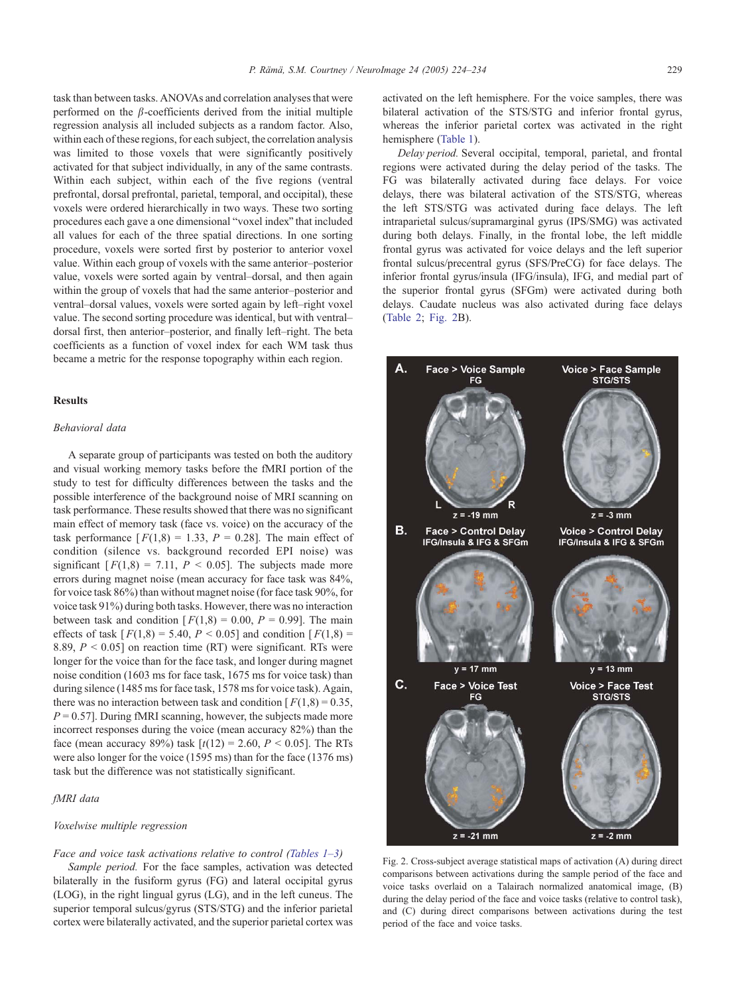<span id="page-5-0"></span>task than between tasks. ANOVAs and correlation analyses that were performed on the  $\beta$ -coefficients derived from the initial multiple regression analysis all included subjects as a random factor. Also, within each of these regions, for each subject, the correlation analysis was limited to those voxels that were significantly positively activated for that subject individually, in any of the same contrasts. Within each subject, within each of the five regions (ventral prefrontal, dorsal prefrontal, parietal, temporal, and occipital), these voxels were ordered hierarchically in two ways. These two sorting procedures each gave a one dimensional "voxel index" that included all values for each of the three spatial directions. In one sorting procedure, voxels were sorted first by posterior to anterior voxel value. Within each group of voxels with the same anterior–posterior value, voxels were sorted again by ventral–dorsal, and then again within the group of voxels that had the same anterior–posterior and ventral–dorsal values, voxels were sorted again by left–right voxel value. The second sorting procedure was identical, but with ventral– dorsal first, then anterior–posterior, and finally left–right. The beta coefficients as a function of voxel index for each WM task thus became a metric for the response topography within each region.

# Results

# Behavioral data

A separate group of participants was tested on both the auditory and visual working memory tasks before the fMRI portion of the study to test for difficulty differences between the tasks and the possible interference of the background noise of MRI scanning on task performance. These results showed that there was no significant main effect of memory task (face vs. voice) on the accuracy of the task performance  $[F(1,8) = 1.33, P = 0.28]$ . The main effect of condition (silence vs. background recorded EPI noise) was significant  $[F(1,8) = 7.11, P \le 0.05]$ . The subjects made more errors during magnet noise (mean accuracy for face task was 84%, for voice task 86%) than without magnet noise (for face task 90%, for voice task 91%) during both tasks. However, there was no interaction between task and condition  $[F(1,8) = 0.00, P = 0.99]$ . The main effects of task  $[F(1,8) = 5,40, P \le 0.05]$  and condition  $[F(1,8) =$ 8.89,  $P < 0.05$ ] on reaction time (RT) were significant. RTs were longer for the voice than for the face task, and longer during magnet noise condition (1603 ms for face task, 1675 ms for voice task) than during silence (1485 ms for face task, 1578 ms for voice task). Again, there was no interaction between task and condition  $F(1,8) = 0.35$ ,  $P = 0.57$ . During fMRI scanning, however, the subjects made more incorrect responses during the voice (mean accuracy 82%) than the face (mean accuracy 89%) task  $[t(12) = 2.60, P < 0.05]$ . The RTs were also longer for the voice (1595 ms) than for the face (1376 ms) task but the difference was not statistically significant.

# fMRI data

# Voxelwise multiple regression

#### Face and voice task activations relative to control (Tables  $1-3$ )

Sample period. For the face samples, activation was detected bilaterally in the fusiform gyrus (FG) and lateral occipital gyrus (LOG), in the right lingual gyrus (LG), and in the left cuneus. The superior temporal sulcus/gyrus (STS/STG) and the inferior parietal cortex were bilaterally activated, and the superior parietal cortex was activated on the left hemisphere. For the voice samples, there was bilateral activation of the STS/STG and inferior frontal gyrus, whereas the inferior parietal cortex was activated in the right hemisphere ([Table 1\)](#page-4-0).

Delay period. Several occipital, temporal, parietal, and frontal regions were activated during the delay period of the tasks. The FG was bilaterally activated during face delays. For voice delays, there was bilateral activation of the STS/STG, whereas the left STS/STG was activated during face delays. The left intraparietal sulcus/supramarginal gyrus (IPS/SMG) was activated during both delays. Finally, in the frontal lobe, the left middle frontal gyrus was activated for voice delays and the left superior frontal sulcus/precentral gyrus (SFS/PreCG) for face delays. The inferior frontal gyrus/insula (IFG/insula), IFG, and medial part of the superior frontal gyrus (SFGm) were activated during both delays. Caudate nucleus was also activated during face delays ([Table 2;](#page-4-0) Fig. 2B).



Fig. 2. Cross-subject average statistical maps of activation (A) during direct comparisons between activations during the sample period of the face and voice tasks overlaid on a Talairach normalized anatomical image, (B) during the delay period of the face and voice tasks (relative to control task), and (C) during direct comparisons between activations during the test period of the face and voice tasks.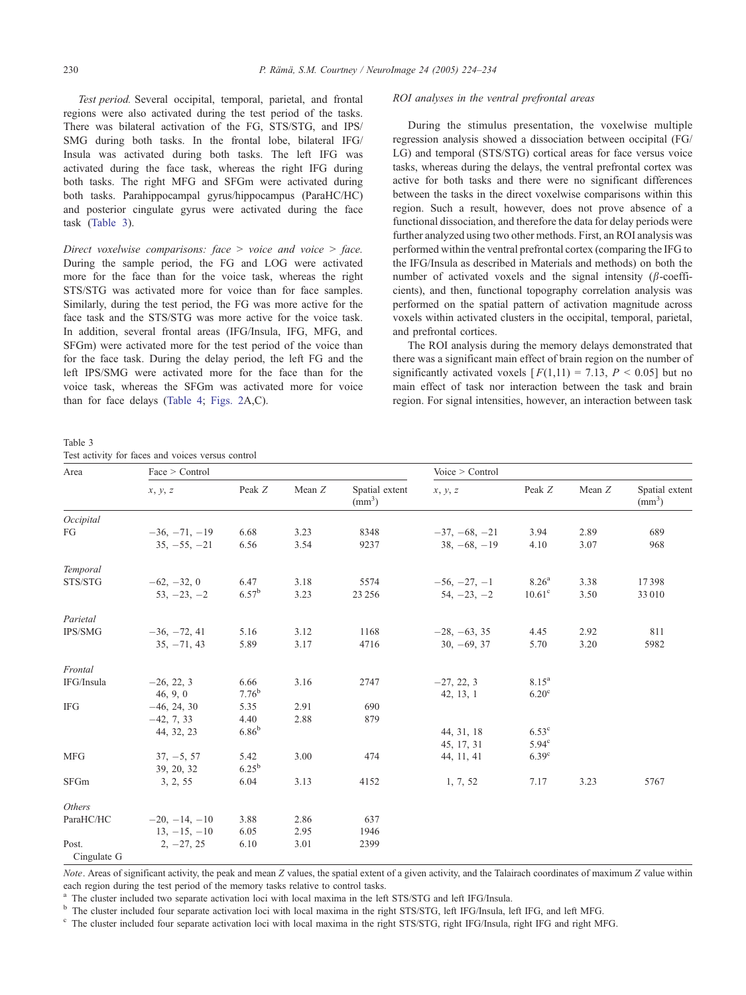Test period. Several occipital, temporal, parietal, and frontal regions were also activated during the test period of the tasks. There was bilateral activation of the FG, STS/STG, and IPS/ SMG during both tasks. In the frontal lobe, bilateral IFG/ Insula was activated during both tasks. The left IFG was activated during the face task, whereas the right IFG during both tasks. The right MFG and SFGm were activated during both tasks. Parahippocampal gyrus/hippocampus (ParaHC/HC) and posterior cingulate gyrus were activated during the face task (Table 3).

Direct voxelwise comparisons: face  $>$  voice and voice  $>$  face. During the sample period, the FG and LOG were activated more for the face than for the voice task, whereas the right STS/STG was activated more for voice than for face samples. Similarly, during the test period, the FG was more active for the face task and the STS/STG was more active for the voice task. In addition, several frontal areas (IFG/Insula, IFG, MFG, and SFGm) were activated more for the test period of the voice than for the face task. During the delay period, the left FG and the left IPS/SMG were activated more for the face than for the voice task, whereas the SFGm was activated more for voice than for face delays ([Table 4;](#page-7-0) [Figs. 2A](#page-5-0),C).

#### ROI analyses in the ventral prefrontal areas

During the stimulus presentation, the voxelwise multiple regression analysis showed a dissociation between occipital (FG/ LG) and temporal (STS/STG) cortical areas for face versus voice tasks, whereas during the delays, the ventral prefrontal cortex was active for both tasks and there were no significant differences between the tasks in the direct voxelwise comparisons within this region. Such a result, however, does not prove absence of a functional dissociation, and therefore the data for delay periods were further analyzed using two other methods. First, an ROI analysis was performed within the ventral prefrontal cortex (comparing the IFG to the IFG/Insula as described in Materials and methods) on both the number of activated voxels and the signal intensity  $(\beta$ -coefficients), and then, functional topography correlation analysis was performed on the spatial pattern of activation magnitude across voxels within activated clusters in the occipital, temporal, parietal, and prefrontal cortices.

The ROI analysis during the memory delays demonstrated that there was a significant main effect of brain region on the number of significantly activated voxels  $[F(1,11) = 7.13, P \le 0.05]$  but no main effect of task nor interaction between the task and brain region. For signal intensities, however, an interaction between task

Table 3 Test activity for faces and voices versus control

| Area                 | Face > Control  |                |        |                                   | Voice > Control |                   |        |                                   |
|----------------------|-----------------|----------------|--------|-----------------------------------|-----------------|-------------------|--------|-----------------------------------|
|                      | x, y, z         | Peak Z         | Mean Z | Spatial extent<br>$\text{mm}^3$ ) | x, y, z         | Peak Z            | Mean Z | Spatial extent<br>$\text{mm}^3$ ) |
| Occipital            |                 |                |        |                                   |                 |                   |        |                                   |
| FG                   | $-36, -71, -19$ | 6.68           | 3.23   | 8348                              | $-37, -68, -21$ | 3.94              | 2.89   | 689                               |
|                      | $35, -55, -21$  | 6.56           | 3.54   | 9237                              | $38, -68, -19$  | 4.10              | 3.07   | 968                               |
| Temporal             |                 |                |        |                                   |                 |                   |        |                                   |
| STS/STG              | $-62, -32, 0$   | 6.47           | 3.18   | 5574                              | $-56, -27, -1$  | 8.26 <sup>a</sup> | 3.38   | 17398                             |
|                      | $53, -23, -2$   | $6.57^{\rm b}$ | 3.23   | 23 25 6                           | $54, -23, -2$   | $10.61^\circ$     | 3.50   | 33 010                            |
| Parietal             |                 |                |        |                                   |                 |                   |        |                                   |
| IPS/SMG              | $-36, -72, 41$  | 5.16           | 3.12   | 1168                              | $-28, -63, 35$  | 4.45              | 2.92   | 811                               |
|                      | $35, -71, 43$   | 5.89           | 3.17   | 4716                              | $30, -69, 37$   | 5.70              | 3.20   | 5982                              |
| Frontal              |                 |                |        |                                   |                 |                   |        |                                   |
| IFG/Insula           | $-26, 22, 3$    | 6.66           | 3.16   | 2747                              | $-27, 22, 3$    | $8.15^{\rm a}$    |        |                                   |
|                      | 46, 9, 0        | $7.76^{b}$     |        |                                   | 42, 13, 1       | 6.20 <sup>c</sup> |        |                                   |
| <b>IFG</b>           | $-46, 24, 30$   | 5.35           | 2.91   | 690                               |                 |                   |        |                                   |
|                      | $-42, 7, 33$    | 4.40           | 2.88   | 879                               |                 |                   |        |                                   |
|                      | 44, 32, 23      | $6.86^{b}$     |        |                                   | 44, 31, 18      | $6.53^{\circ}$    |        |                                   |
|                      |                 |                |        |                                   | 45, 17, 31      | 5.94 <sup>c</sup> |        |                                   |
| <b>MFG</b>           | $37, -5, 57$    | 5.42           | 3.00   | 474                               | 44, 11, 41      | 6.39 <sup>c</sup> |        |                                   |
|                      | 39, 20, 32      | $6.25^{b}$     |        |                                   |                 |                   |        |                                   |
| SFGm                 | 3, 2, 55        | 6.04           | 3.13   | 4152                              | 1, 7, 52        | 7.17              | 3.23   | 5767                              |
| Others               |                 |                |        |                                   |                 |                   |        |                                   |
| ParaHC/HC            | $-20, -14, -10$ | 3.88           | 2.86   | 637                               |                 |                   |        |                                   |
|                      | $13, -15, -10$  | 6.05           | 2.95   | 1946                              |                 |                   |        |                                   |
| Post.<br>Cingulate G | $2, -27, 25$    | 6.10           | 3.01   | 2399                              |                 |                   |        |                                   |

Note. Areas of significant activity, the peak and mean Z values, the spatial extent of a given activity, and the Talairach coordinates of maximum Z value within each region during the test period of the memory tasks relative to control tasks.

<sup>a</sup> The cluster included two separate activation loci with local maxima in the left STS/STG and left IFG/Insula.<br><sup>b</sup> The cluster included four separate activation loci with local maxima in the right STS/STG, left IFG/Insul

<sup>c</sup> The cluster included four separate activation loci with local maxima in the right STS/STG, right IFG/Insula, right IFG and right MFG.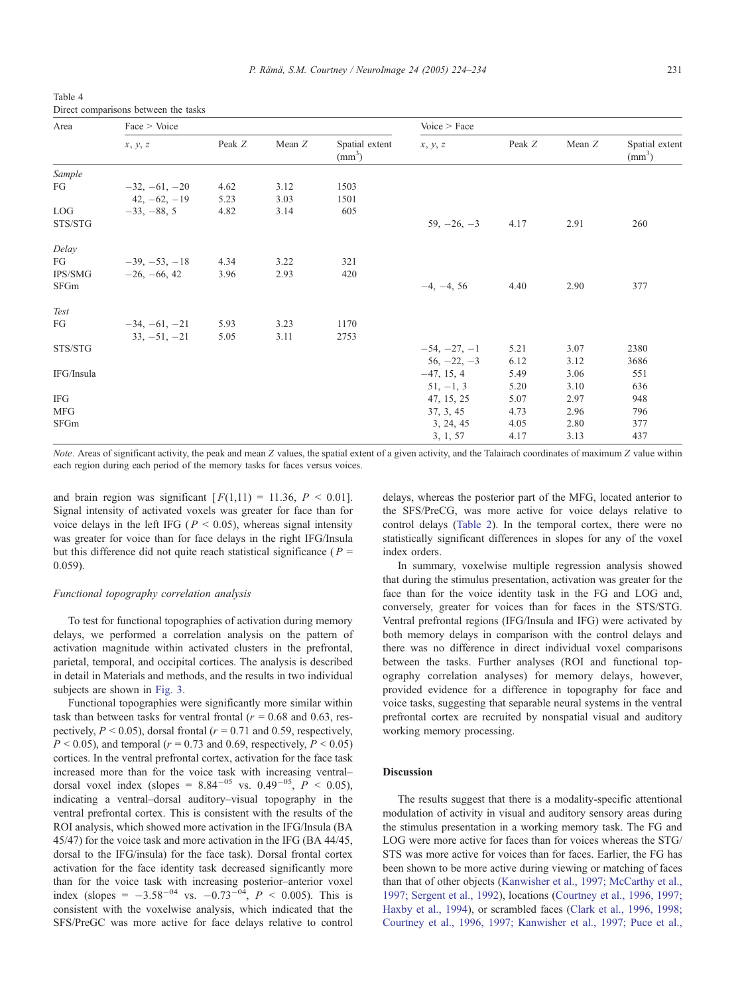<span id="page-7-0"></span>Table 4 Direct comparisons between the tasks

| Area       | Face > Voice    |        |        |                                   | $Vo$ ice > Face |        |          |                                 |  |
|------------|-----------------|--------|--------|-----------------------------------|-----------------|--------|----------|---------------------------------|--|
|            | x, y, z         | Peak Z | Mean Z | Spatial extent<br>$\text{mm}^3$ ) | x, y, z         | Peak Z | Mean $Z$ | Spatial extent<br>$\text{mm}^3$ |  |
| Sample     |                 |        |        |                                   |                 |        |          |                                 |  |
| FG         | $-32, -61, -20$ | 4.62   | 3.12   | 1503                              |                 |        |          |                                 |  |
|            | $42, -62, -19$  | 5.23   | 3.03   | 1501                              |                 |        |          |                                 |  |
| <b>LOG</b> | $-33, -88, 5$   | 4.82   | 3.14   | 605                               |                 |        |          |                                 |  |
| STS/STG    |                 |        |        |                                   | $59, -26, -3$   | 4.17   | 2.91     | 260                             |  |
| Delay      |                 |        |        |                                   |                 |        |          |                                 |  |
| FG         | $-39, -53, -18$ | 4.34   | 3.22   | 321                               |                 |        |          |                                 |  |
| IPS/SMG    | $-26, -66, 42$  | 3.96   | 2.93   | 420                               |                 |        |          |                                 |  |
| SFGm       |                 |        |        |                                   | $-4, -4, 56$    | 4.40   | 2.90     | 377                             |  |
| Test       |                 |        |        |                                   |                 |        |          |                                 |  |
| FG         | $-34, -61, -21$ | 5.93   | 3.23   | 1170                              |                 |        |          |                                 |  |
|            | $33, -51, -21$  | 5.05   | 3.11   | 2753                              |                 |        |          |                                 |  |
| STS/STG    |                 |        |        |                                   | $-54, -27, -1$  | 5.21   | 3.07     | 2380                            |  |
|            |                 |        |        |                                   | $56, -22, -3$   | 6.12   | 3.12     | 3686                            |  |
| IFG/Insula |                 |        |        |                                   | $-47, 15, 4$    | 5.49   | 3.06     | 551                             |  |
|            |                 |        |        |                                   | $51, -1, 3$     | 5.20   | 3.10     | 636                             |  |
| <b>IFG</b> |                 |        |        |                                   | 47, 15, 25      | 5.07   | 2.97     | 948                             |  |
| <b>MFG</b> |                 |        |        |                                   | 37, 3, 45       | 4.73   | 2.96     | 796                             |  |
| SFGm       |                 |        |        |                                   | 3, 24, 45       | 4.05   | 2.80     | 377                             |  |
|            |                 |        |        |                                   | 3, 1, 57        | 4.17   | 3.13     | 437                             |  |

Note. Areas of significant activity, the peak and mean Z values, the spatial extent of a given activity, and the Talairach coordinates of maximum Z value within each region during each period of the memory tasks for faces versus voices.

and brain region was significant  $[F(1,11) = 11.36, P \le 0.01]$ . Signal intensity of activated voxels was greater for face than for voice delays in the left IFG ( $P \le 0.05$ ), whereas signal intensity was greater for voice than for face delays in the right IFG/Insula but this difference did not quite reach statistical significance ( $P =$ 0.059).

### Functional topography correlation analysis

To test for functional topographies of activation during memory delays, we performed a correlation analysis on the pattern of activation magnitude within activated clusters in the prefrontal, parietal, temporal, and occipital cortices. The analysis is described in detail in Materials and methods, and the results in two individual subjects are shown in [Fig. 3.](#page-8-0)

Functional topographies were significantly more similar within task than between tasks for ventral frontal  $(r = 0.68$  and 0.63, respectively,  $P < 0.05$ ), dorsal frontal ( $r = 0.71$  and 0.59, respectively,  $P < 0.05$ ), and temporal ( $r = 0.73$  and 0.69, respectively,  $P < 0.05$ ) cortices. In the ventral prefrontal cortex, activation for the face task increased more than for the voice task with increasing ventral– dorsal voxel index (slopes =  $8.84^{-05}$  vs.  $0.49^{-05}$ ,  $P < 0.05$ ), indicating a ventral–dorsal auditory–visual topography in the ventral prefrontal cortex. This is consistent with the results of the ROI analysis, which showed more activation in the IFG/Insula (BA 45/47) for the voice task and more activation in the IFG (BA 44/45, dorsal to the IFG/insula) for the face task). Dorsal frontal cortex activation for the face identity task decreased significantly more than for the voice task with increasing posterior–anterior voxel index (slopes =  $-3.58^{-04}$  vs.  $-0.73^{-04}$ ,  $P < 0.005$ ). This is consistent with the voxelwise analysis, which indicated that the SFS/PreGC was more active for face delays relative to control delays, whereas the posterior part of the MFG, located anterior to the SFS/PreCG, was more active for voice delays relative to control delays ([Table 2\)](#page-4-0). In the temporal cortex, there were no statistically significant differences in slopes for any of the voxel index orders.

In summary, voxelwise multiple regression analysis showed that during the stimulus presentation, activation was greater for the face than for the voice identity task in the FG and LOG and, conversely, greater for voices than for faces in the STS/STG. Ventral prefrontal regions (IFG/Insula and IFG) were activated by both memory delays in comparison with the control delays and there was no difference in direct individual voxel comparisons between the tasks. Further analyses (ROI and functional topography correlation analyses) for memory delays, however, provided evidence for a difference in topography for face and voice tasks, suggesting that separable neural systems in the ventral prefrontal cortex are recruited by nonspatial visual and auditory working memory processing.

#### Discussion

The results suggest that there is a modality-specific attentional modulation of activity in visual and auditory sensory areas during the stimulus presentation in a working memory task. The FG and LOG were more active for faces than for voices whereas the STG/ STS was more active for voices than for faces. Earlier, the FG has been shown to be more active during viewing or matching of faces than that of other objects ([Kanwisher et al., 1997; McCarthy et al.,](#page-10-0) 1997; Sergent et al., 1992), locations ([Courtney et al., 1996, 1997;](#page-9-0) Haxby et al., 1994), or scrambled faces ([Clark et al., 1996, 1998;](#page-9-0) Courtney et al., 1996, 1997; Kanwisher et al., 1997; Puce et al.,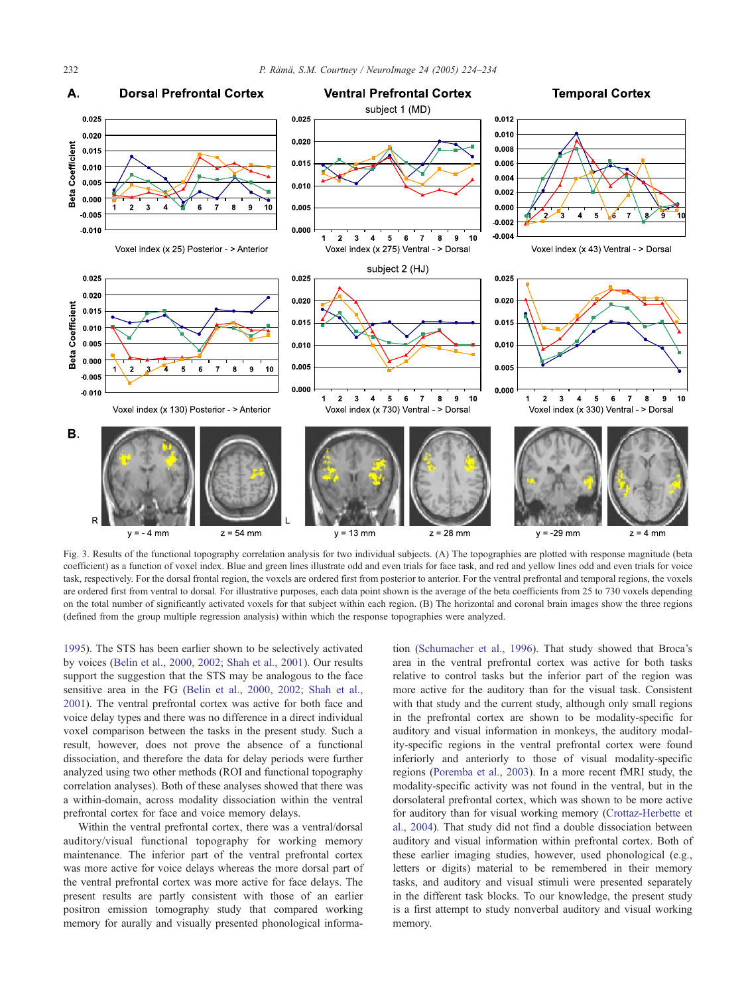<span id="page-8-0"></span>

Fig. 3. Results of the functional topography correlation analysis for two individual subjects. (A) The topographies are plotted with response magnitude (beta coefficient) as a function of voxel index. Blue and green lines illustrate odd and even trials for face task, and red and yellow lines odd and even trials for voice task, respectively. For the dorsal frontal region, the voxels are ordered first from posterior to anterior. For the ventral prefrontal and temporal regions, the voxels are ordered first from ventral to dorsal. For illustrative purposes, each data point shown is the average of the beta coefficients from 25 to 730 voxels depending on the total number of significantly activated voxels for that subject within each region. (B) The horizontal and coronal brain images show the three regions (defined from the group multiple regression analysis) within which the response topographies were analyzed.

1995). The STS has been earlier shown to be selectively activated by voices ([Belin et al., 2000, 2002; Shah et al., 2001\)](#page-9-0). Our results support the suggestion that the STS may be analogous to the face sensitive area in the FG ([Belin et al., 2000, 2002; Shah et al.,](#page-9-0) 2001). The ventral prefrontal cortex was active for both face and voice delay types and there was no difference in a direct individual voxel comparison between the tasks in the present study. Such a result, however, does not prove the absence of a functional dissociation, and therefore the data for delay periods were further analyzed using two other methods (ROI and functional topography correlation analyses). Both of these analyses showed that there was a within-domain, across modality dissociation within the ventral prefrontal cortex for face and voice memory delays.

Within the ventral prefrontal cortex, there was a ventral/dorsal auditory/visual functional topography for working memory maintenance. The inferior part of the ventral prefrontal cortex was more active for voice delays whereas the more dorsal part of the ventral prefrontal cortex was more active for face delays. The present results are partly consistent with those of an earlier positron emission tomography study that compared working memory for aurally and visually presented phonological information ([Schumacher et al., 1996\)](#page-10-0). That study showed that Broca's area in the ventral prefrontal cortex was active for both tasks relative to control tasks but the inferior part of the region was more active for the auditory than for the visual task. Consistent with that study and the current study, although only small regions in the prefrontal cortex are shown to be modality-specific for auditory and visual information in monkeys, the auditory modality-specific regions in the ventral prefrontal cortex were found inferiorly and anteriorly to those of visual modality-specific regions ([Poremba et al., 2003\)](#page-10-0). In a more recent fMRI study, the modality-specific activity was not found in the ventral, but in the dorsolateral prefrontal cortex, which was shown to be more active for auditory than for visual working memory ([Crottaz-Herbette et](#page-10-0) al., 2004). That study did not find a double dissociation between auditory and visual information within prefrontal cortex. Both of these earlier imaging studies, however, used phonological (e.g., letters or digits) material to be remembered in their memory tasks, and auditory and visual stimuli were presented separately in the different task blocks. To our knowledge, the present study is a first attempt to study nonverbal auditory and visual working memory.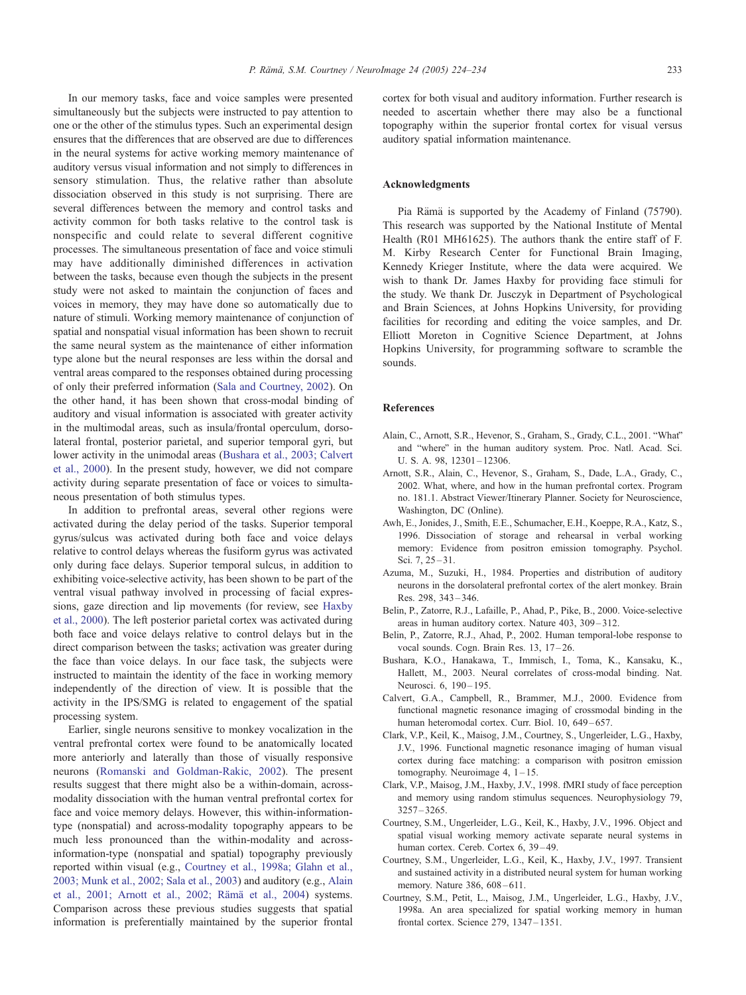<span id="page-9-0"></span>In our memory tasks, face and voice samples were presented simultaneously but the subjects were instructed to pay attention to one or the other of the stimulus types. Such an experimental design ensures that the differences that are observed are due to differences in the neural systems for active working memory maintenance of auditory versus visual information and not simply to differences in sensory stimulation. Thus, the relative rather than absolute dissociation observed in this study is not surprising. There are several differences between the memory and control tasks and activity common for both tasks relative to the control task is nonspecific and could relate to several different cognitive processes. The simultaneous presentation of face and voice stimuli may have additionally diminished differences in activation between the tasks, because even though the subjects in the present study were not asked to maintain the conjunction of faces and voices in memory, they may have done so automatically due to nature of stimuli. Working memory maintenance of conjunction of spatial and nonspatial visual information has been shown to recruit the same neural system as the maintenance of either information type alone but the neural responses are less within the dorsal and ventral areas compared to the responses obtained during processing of only their preferred information ([Sala and Courtney, 2002\)](#page-10-0). On the other hand, it has been shown that cross-modal binding of auditory and visual information is associated with greater activity in the multimodal areas, such as insula/frontal operculum, dorsolateral frontal, posterior parietal, and superior temporal gyri, but lower activity in the unimodal areas (Bushara et al., 2003; Calvert et al., 2000). In the present study, however, we did not compare activity during separate presentation of face or voices to simultaneous presentation of both stimulus types.

In addition to prefrontal areas, several other regions were activated during the delay period of the tasks. Superior temporal gyrus/sulcus was activated during both face and voice delays relative to control delays whereas the fusiform gyrus was activated only during face delays. Superior temporal sulcus, in addition to exhibiting voice-selective activity, has been shown to be part of the ventral visual pathway involved in processing of facial expressions, gaze direction and lip movements (for review, see [Haxby](#page-10-0) et al., 2000). The left posterior parietal cortex was activated during both face and voice delays relative to control delays but in the direct comparison between the tasks; activation was greater during the face than voice delays. In our face task, the subjects were instructed to maintain the identity of the face in working memory independently of the direction of view. It is possible that the activity in the IPS/SMG is related to engagement of the spatial processing system.

Earlier, single neurons sensitive to monkey vocalization in the ventral prefrontal cortex were found to be anatomically located more anteriorly and laterally than those of visually responsive neurons ([Romanski and Goldman-Rakic, 2002\)](#page-10-0). The present results suggest that there might also be a within-domain, acrossmodality dissociation with the human ventral prefrontal cortex for face and voice memory delays. However, this within-informationtype (nonspatial) and across-modality topography appears to be much less pronounced than the within-modality and acrossinformation-type (nonspatial and spatial) topography previously reported within visual (e.g., Courtney et al., 1998a; Glahn et al., 2003; Munk et al., 2002; Sala et al., 2003) and auditory (e.g., Alain et al., 2001; Arnott et al., 2002; Rämä et al., 2004) systems. Comparison across these previous studies suggests that spatial information is preferentially maintained by the superior frontal

cortex for both visual and auditory information. Further research is needed to ascertain whether there may also be a functional topography within the superior frontal cortex for visual versus auditory spatial information maintenance.

### Acknowledgments

Pia Rämä is supported by the Academy of Finland (75790). This research was supported by the National Institute of Mental Health (R01 MH61625). The authors thank the entire staff of F. M. Kirby Research Center for Functional Brain Imaging, Kennedy Krieger Institute, where the data were acquired. We wish to thank Dr. James Haxby for providing face stimuli for the study. We thank Dr. Jusczyk in Department of Psychological and Brain Sciences, at Johns Hopkins University, for providing facilities for recording and editing the voice samples, and Dr. Elliott Moreton in Cognitive Science Department, at Johns Hopkins University, for programming software to scramble the sounds.

# References

- Alain, C., Arnott, S.R., Hevenor, S., Graham, S., Grady, C.L., 2001. "What" and "where" in the human auditory system. Proc. Natl. Acad. Sci. U. S. A. 98, 12301 – 12306.
- Arnott, S.R., Alain, C., Hevenor, S., Graham, S., Dade, L.A., Grady, C., 2002. What, where, and how in the human prefrontal cortex. Program no. 181.1. Abstract Viewer/Itinerary Planner. Society for Neuroscience, Washington, DC (Online).
- Awh, E., Jonides, J., Smith, E.E., Schumacher, E.H., Koeppe, R.A., Katz, S., 1996. Dissociation of storage and rehearsal in verbal working memory: Evidence from positron emission tomography. Psychol. Sci. 7, 25 – 31.
- Azuma, M., Suzuki, H., 1984. Properties and distribution of auditory neurons in the dorsolateral prefrontal cortex of the alert monkey. Brain Res. 298, 343 – 346.
- Belin, P., Zatorre, R.J., Lafaille, P., Ahad, P., Pike, B., 2000. Voice-selective areas in human auditory cortex. Nature 403, 309 – 312.
- Belin, P., Zatorre, R.J., Ahad, P., 2002. Human temporal-lobe response to vocal sounds. Cogn. Brain Res. 13, 17-26.
- Bushara, K.O., Hanakawa, T., Immisch, I., Toma, K., Kansaku, K., Hallett, M., 2003. Neural correlates of cross-modal binding. Nat. Neurosci. 6, 190-195.
- Calvert, G.A., Campbell, R., Brammer, M.J., 2000. Evidence from functional magnetic resonance imaging of crossmodal binding in the human heteromodal cortex. Curr. Biol. 10, 649-657.
- Clark, V.P., Keil, K., Maisog, J.M., Courtney, S., Ungerleider, L.G., Haxby, J.V., 1996. Functional magnetic resonance imaging of human visual cortex during face matching: a comparison with positron emission tomography. Neuroimage  $4$ ,  $1 - 15$ .
- Clark, V.P., Maisog, J.M., Haxby, J.V., 1998. fMRI study of face perception and memory using random stimulus sequences. Neurophysiology 79,  $3257 - 3265$
- Courtney, S.M., Ungerleider, L.G., Keil, K., Haxby, J.V., 1996. Object and spatial visual working memory activate separate neural systems in human cortex. Cereb. Cortex 6, 39-49.
- Courtney, S.M., Ungerleider, L.G., Keil, K., Haxby, J.V., 1997. Transient and sustained activity in a distributed neural system for human working memory. Nature 386, 608-611.
- Courtney, S.M., Petit, L., Maisog, J.M., Ungerleider, L.G., Haxby, J.V., 1998a. An area specialized for spatial working memory in human frontal cortex. Science 279, 1347 – 1351.